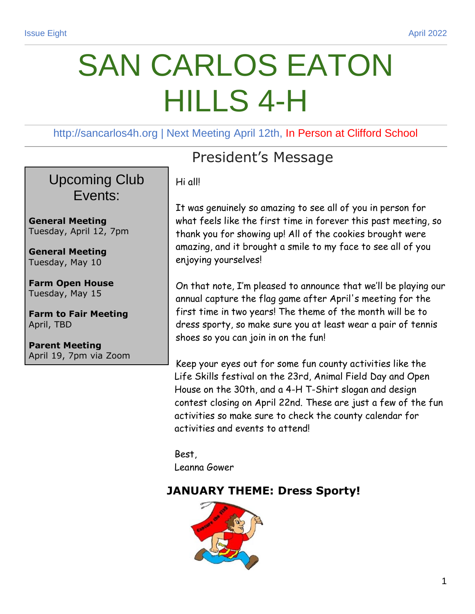# SAN CARLOS EATON HILLS 4-H

http://sancarlos4h.org | Next Meeting April 12th, In Person at Clifford School

#### Upcoming Club Events:

**General Meeting** Tuesday, April 12, 7pm

**General Meeting** Tuesday, May 10

**Farm Open House** Tuesday, May 15

**Farm to Fair Meeting**  April, TBD

**Parent Meeting** April 19, 7pm via Zoom

## President's Message

Hi all!

It was genuinely so amazing to see all of you in person for what feels like the first time in forever this past meeting, so thank you for showing up! All of the cookies brought were amazing, and it brought a smile to my face to see all of you enjoying yourselves!

On that note, I'm pleased to announce that we'll be playing our annual capture the flag game after April's meeting for the first time in two years! The theme of the month will be to dress sporty, so make sure you at least wear a pair of tennis shoes so you can join in on the fun!

Keep your eyes out for some fun county activities like the Life Skills festival on the 23rd, Animal Field Day and Open House on the 30th, and a 4-H T-Shirt slogan and design contest closing on April 22nd. These are just a few of the fun activities so make sure to check the county calendar for activities and events to attend!

Best, Leanna Gower

#### **JANUARY THEME: Dress Sporty!**

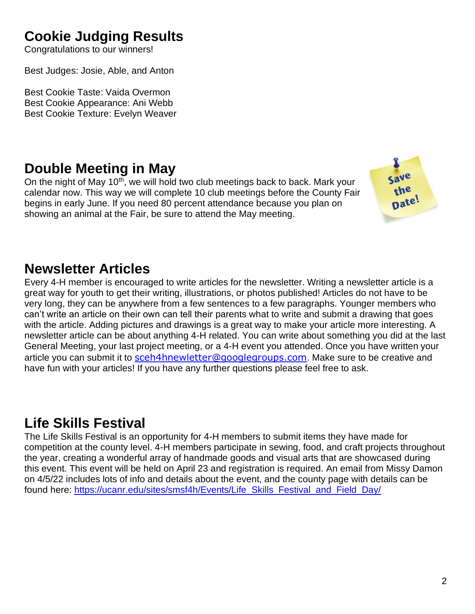## **Cookie Judging Results**

Congratulations to our winners!

Best Judges: Josie, Able, and Anton

Best Cookie Taste: Vaida Overmon Best Cookie Appearance: Ani Webb Best Cookie Texture: Evelyn Weaver

#### **Double Meeting in May**

On the night of May 10<sup>th</sup>, we will hold two club meetings back to back. Mark your calendar now. This way we will complete 10 club meetings before the County Fair begins in early June. If you need 80 percent attendance because you plan on showing an animal at the Fair, be sure to attend the May meeting.



#### **Newsletter Articles**

Every 4-H member is encouraged to write articles for the newsletter. Writing a newsletter article is a great way for youth to get their writing, illustrations, or photos published! Articles do not have to be very long, they can be anywhere from a few sentences to a few paragraphs. Younger members who can't write an article on their own can tell their parents what to write and submit a drawing that goes with the article. Adding pictures and drawings is a great way to make your article more interesting. A newsletter article can be about anything 4-H related. You can write about something you did at the last General Meeting, your last project meeting, or a 4-H event you attended. Once you have written your article you can submit it to [sceh4hnewletter@googlegroups.com](mailto:sceh4hnewletter@googlegroups.com). Make sure to be creative and have fun with your articles! If you have any further questions please feel free to ask.

#### **Life Skills Festival**

The Life Skills Festival is an opportunity for 4-H members to submit items they have made for competition at the county level. 4-H members participate in sewing, food, and craft projects throughout the year, creating a wonderful array of handmade goods and visual arts that are showcased during this event. This event will be held on April 23 and registration is required. An email from Missy Damon on 4/5/22 includes lots of info and details about the event, and the county page with details can be found here: [https://ucanr.edu/sites/smsf4h/Events/Life\\_Skills\\_Festival\\_and\\_Field\\_Day/](https://ucanr.edu/sites/smsf4h/Events/Life_Skills_Festival_and_Field_Day/)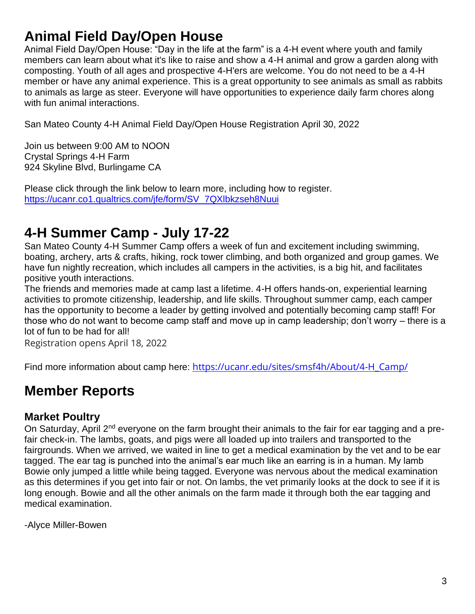### **Animal Field Day/Open House**

Animal Field Day/Open House: "Day in the life at the farm" is a 4-H event where youth and family members can learn about what it's like to raise and show a 4-H animal and grow a garden along with composting. Youth of all ages and prospective 4-H'ers are welcome. You do not need to be a 4-H member or have any animal experience. This is a great opportunity to see animals as small as rabbits to animals as large as steer. Everyone will have opportunities to experience daily farm chores along with fun animal interactions.

San Mateo County 4-H Animal Field Day/Open House Registration April 30, 2022

Join us between 9:00 AM to NOON Crystal Springs 4-H Farm 924 Skyline Blvd, Burlingame CA

Please click through the link below to learn more, including how to register. [https://ucanr.co1.qualtrics.com/jfe/form/SV\\_7QXlbkzseh8Nuui](https://ucanr.co1.qualtrics.com/jfe/form/SV_7QXlbkzseh8Nuui)

#### **4-H Summer Camp - July 17-22**

San Mateo County 4-H Summer Camp offers a week of fun and excitement including swimming, boating, archery, arts & crafts, hiking, rock tower climbing, and both organized and group games. We have fun nightly recreation, which includes all campers in the activities, is a big hit, and facilitates positive youth interactions.

The friends and memories made at camp last a lifetime. 4-H offers hands-on, experiential learning activities to promote citizenship, leadership, and life skills. Throughout summer camp, each camper has the opportunity to become a leader by getting involved and potentially becoming camp staff! For those who do not want to become camp staff and move up in camp leadership; don't worry – there is a lot of fun to be had for all!

Registration opens April 18, 2022

Find more information about camp here: [https://ucanr.edu/sites/smsf4h/About/4-H\\_Camp/](https://ucanr.edu/sites/smsf4h/About/4-H_Camp/)

#### **Member Reports**

#### **Market Poultry**

On Saturday, April 2<sup>nd</sup> everyone on the farm brought their animals to the fair for ear tagging and a prefair check-in. The lambs, goats, and pigs were all loaded up into trailers and transported to the fairgrounds. When we arrived, we waited in line to get a medical examination by the vet and to be ear tagged. The ear tag is punched into the animal's ear much like an earring is in a human. My lamb Bowie only jumped a little while being tagged. Everyone was nervous about the medical examination as this determines if you get into fair or not. On lambs, the vet primarily looks at the dock to see if it is long enough. Bowie and all the other animals on the farm made it through both the ear tagging and medical examination.

-Alyce Miller-Bowen